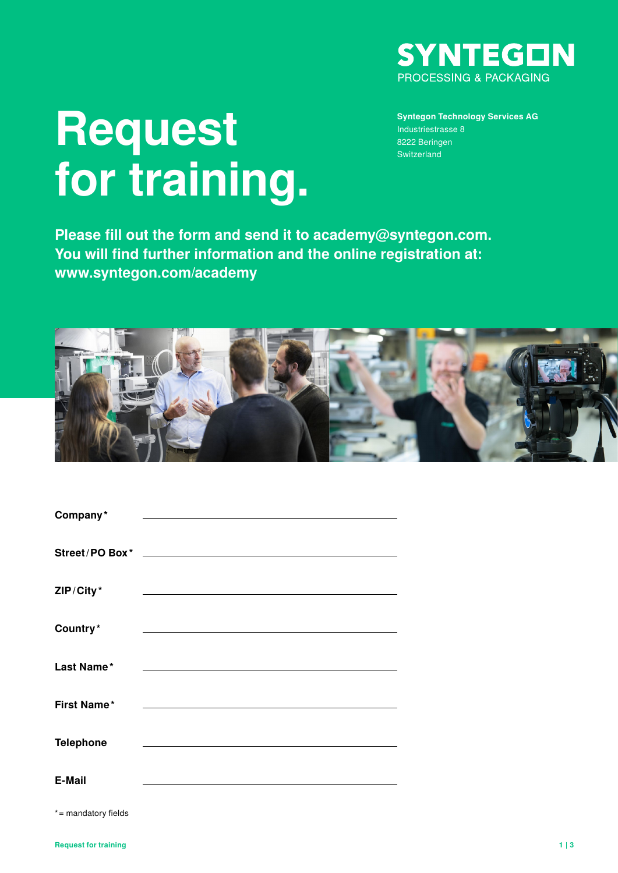

# **Request for training.**

**Syntegon Technology Services AG** Industriestrasse 8 8222 Beringen Switzerland

**Please fill out the form and send it to academy@syntegon.com. You will find further information and the online registration at: www.syntegon.com/academy**



| Company*            | <u> 1980 - Johann Barbara, martxa alemaniar a</u>                                         |
|---------------------|-------------------------------------------------------------------------------------------|
|                     |                                                                                           |
|                     |                                                                                           |
|                     |                                                                                           |
| ZIP/City*           | the control of the control of the control of the control of the control of the control of |
|                     |                                                                                           |
| Country*            |                                                                                           |
| Last Name*          | the control of the control of the control of the control of the control of                |
|                     |                                                                                           |
| <b>First Name*</b>  |                                                                                           |
|                     |                                                                                           |
| <b>Telephone</b>    |                                                                                           |
|                     |                                                                                           |
| E-Mail              |                                                                                           |
| *= mandatory fields |                                                                                           |
|                     |                                                                                           |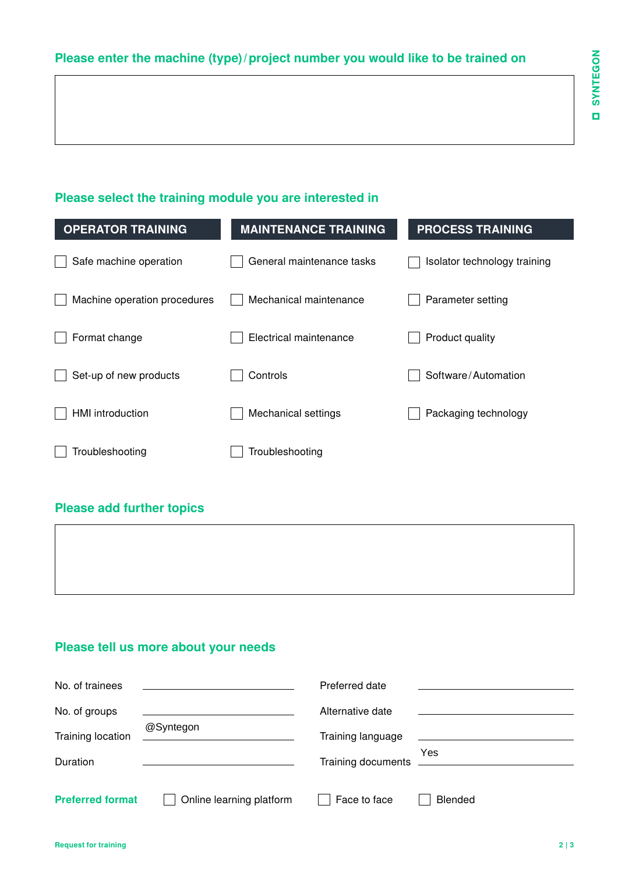## **Please enter the machine (type)/project number you would like to be trained on**

#### **Please select the training module you are interested in**

| <b>OPERATOR TRAINING</b>     | <b>MAINTENANCE TRAINING</b> | <b>PROCESS TRAINING</b>      |
|------------------------------|-----------------------------|------------------------------|
| Safe machine operation       | General maintenance tasks   | Isolator technology training |
| Machine operation procedures | Mechanical maintenance      | Parameter setting            |
| Format change                | Electrical maintenance      | Product quality              |
| Set-up of new products       | Controls                    | Software/Automation          |
| <b>HMI</b> introduction      | Mechanical settings         | Packaging technology         |
| Troubleshooting              | Troubleshooting             |                              |

#### **Please add further topics**

 $\Gamma$ 

### **Please tell us more about your needs**

| No. of trainees         | the contract of the contract of the contract of the contract of the contract of | Preferred date     |         |
|-------------------------|---------------------------------------------------------------------------------|--------------------|---------|
| No. of groups           |                                                                                 | Alternative date   |         |
| Training location       | @Syntegon<br><u> 1989 - Andrea Andrew Maria (h. 1989).</u>                      | Training language  |         |
| Duration                |                                                                                 | Training documents | Yes     |
|                         |                                                                                 |                    |         |
| <b>Preferred format</b> | Online learning platform                                                        | Face to face       | Blended |

┑